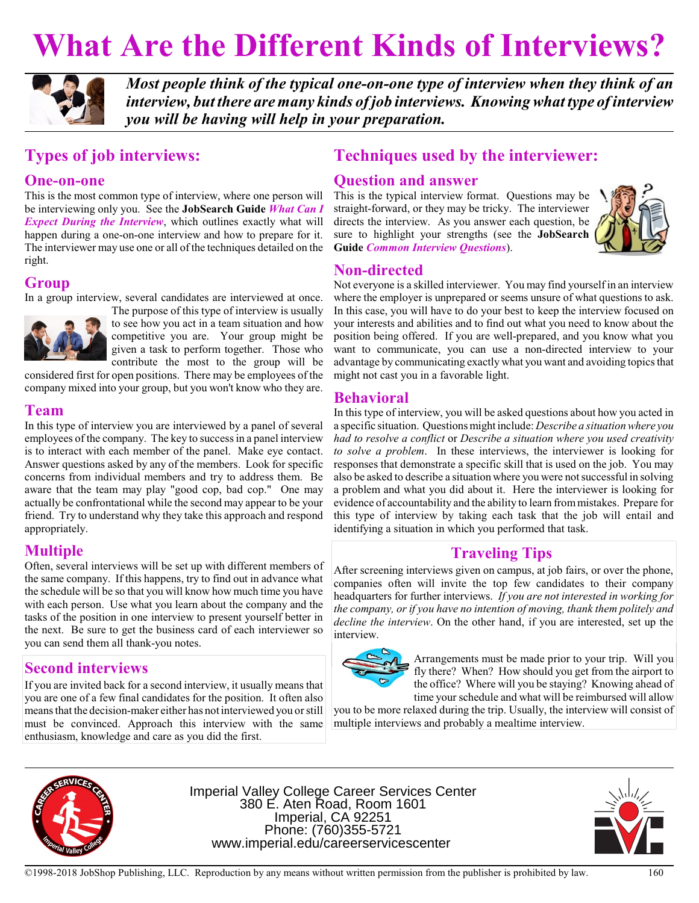# **What Are the Different Kinds of Interviews?**



*Most people think of the typical one-on-one type of interview when they think of an interview, but there are many kinds of job interviews. Knowingwhat type of interview you will be having will help in your preparation.*

# **Types of job interviews:**

## **One-on-one**

This is the most common type of interview, where one person will be interviewing only you. See the **JobSearch Guide** *What Can I Expect During the Interview*, which outlines exactly what will happen during a one-on-one interview and how to prepare for it. The interviewer may use one or all of the techniques detailed on the right.

## **Group**

In a group interview, several candidates are interviewed at once.



The purpose of this type of interview is usually to see how you act in a team situation and how competitive you are. Your group might be given a task to perform together. Those who contribute the most to the group will be

considered first for open positions. There may be employees of the company mixed into your group, but you won't know who they are.

## **Team**

In this type of interview you are interviewed by a panel of several employees of the company. The key to success in a panel interview is to interact with each member of the panel. Make eye contact. Answer questions asked by any of the members. Look for specific concerns from individual members and try to address them. Be aware that the team may play "good cop, bad cop." One may actually be confrontational while the second may appear to be your friend. Try to understand why they take this approach and respond appropriately.

# **Multiple**

Often, several interviews will be set up with different members of the same company. If this happens, try to find out in advance what the schedule will be so that you will know how much time you have with each person. Use what you learn about the company and the tasks of the position in one interview to present yourself better in the next. Be sure to get the business card of each interviewer so you can send them all thank-you notes.

# **Second interviews**

If you are invited back for a second interview, it usually means that you are one of a few final candidates for the position. It often also means that the decision-maker either has not interviewed you or still must be convinced. Approach this interview with the same enthusiasm, knowledge and care as you did the first.

# **Techniques used by the interviewer:**

## **Question and answer**

This is the typical interview format. Questions may be straight-forward, or they may be tricky. The interviewer directs the interview. As you answer each question, be sure to highlight your strengths (see the **JobSearch Guide** *Common Interview Questions*).



## **Non-directed**

Not everyone is a skilled interviewer. You may find yourself in an interview where the employer is unprepared or seems unsure of what questions to ask. In this case, you will have to do your best to keep the interview focused on your interests and abilities and to find out what you need to know about the position being offered. If you are well-prepared, and you know what you want to communicate, you can use a non-directed interview to your advantage by communicating exactly what you want and avoiding topics that might not cast you in a favorable light.

## **Behavioral**

In this type of interview, you will be asked questions about how you acted in a specific situation. Questions might include: *Describe a situationwhere you had to resolve a conflict* or *Describe a situation where you used creativity to solve a problem*. In these interviews, the interviewer is looking for responses that demonstrate a specific skill that is used on the job. You may also be asked to describe a situation where you were not successful in solving a problem and what you did about it. Here the interviewer is looking for evidence of accountability and the ability to learn frommistakes. Prepare for this type of interview by taking each task that the job will entail and identifying a situation in which you performed that task.

# **Traveling Tips**

After screening interviews given on campus, at job fairs, or over the phone, companies often will invite the top few candidates to their company headquarters for further interviews. *If you are not interested in working for the company, or if you have no intention of moving, thank them politely and decline the interview*. On the other hand, if you are interested, set up the interview.



Arrangements must be made prior to your trip. Will you fly there? When? How should you get from the airport to the office? Where will you be staying? Knowing ahead of time your schedule and what will be reimbursed will allow

you to be more relaxed during the trip. Usually, the interview will consist of multiple interviews and probably a mealtime interview.



Imperial Valley College Career Services Center 380 E. Aten Road, Room 1601 Imperial, CA 92251 Phone: (760)355-5721 www.imperial.edu/careerservicescenter